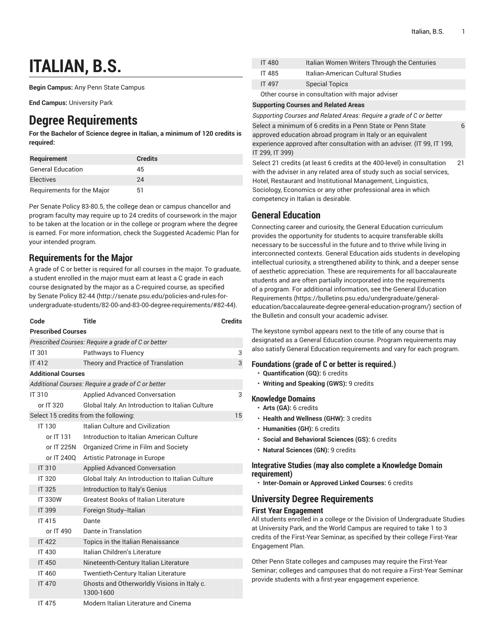6

# **ITALIAN, B.S.**

**Begin Campus:** Any Penn State Campus

**End Campus:** University Park

## **Degree Requirements**

**For the Bachelor of Science degree in Italian, a minimum of 120 credits is required:**

| <b>Requirement</b>         | <b>Credits</b> |
|----------------------------|----------------|
| <b>General Education</b>   | 45             |
| Electives                  | 24             |
| Requirements for the Major | 51             |

Per Senate Policy 83-80.5, the college dean or campus chancellor and program faculty may require up to 24 credits of coursework in the major to be taken at the location or in the college or program where the degree is earned. For more information, check the Suggested Academic Plan for your intended program.

### **Requirements for the Major**

A grade of C or better is required for all courses in the major. To graduate, a student enrolled in the major must earn at least a C grade in each course designated by the major as a C-required course, as specified by [Senate](http://senate.psu.edu/policies-and-rules-for-undergraduate-students/82-00-and-83-00-degree-requirements/#82-44) Policy 82-44 [\(http://senate.psu.edu/policies-and-rules-for](http://senate.psu.edu/policies-and-rules-for-undergraduate-students/82-00-and-83-00-degree-requirements/#82-44)[undergraduate-students/82-00-and-83-00-degree-requirements/#82-44\)](http://senate.psu.edu/policies-and-rules-for-undergraduate-students/82-00-and-83-00-degree-requirements/#82-44).

| Code                                               |                           | <b>Title</b>                                             | <b>Credits</b> |
|----------------------------------------------------|---------------------------|----------------------------------------------------------|----------------|
| <b>Prescribed Courses</b>                          |                           |                                                          |                |
|                                                    |                           | Prescribed Courses: Require a grade of C or better       |                |
| <b>IT 301</b>                                      |                           | Pathways to Fluency                                      | 3              |
| <b>IT 412</b>                                      |                           | Theory and Practice of Translation                       | 3              |
|                                                    | <b>Additional Courses</b> |                                                          |                |
| Additional Courses: Require a grade of C or better |                           |                                                          |                |
| <b>IT 310</b>                                      |                           | <b>Applied Advanced Conversation</b>                     | 3              |
|                                                    | or IT 320                 | Global Italy: An Introduction to Italian Culture         |                |
| Select 15 credits from the following:<br>15        |                           |                                                          |                |
|                                                    | IT 130                    | Italian Culture and Civilization                         |                |
|                                                    | or IT 131                 | Introduction to Italian American Culture                 |                |
|                                                    | or IT 225N                | Organized Crime in Film and Society                      |                |
|                                                    | or IT 240Q                | Artistic Patronage in Europe                             |                |
|                                                    | IT 310                    | <b>Applied Advanced Conversation</b>                     |                |
|                                                    | <b>IT 320</b>             | Global Italy: An Introduction to Italian Culture         |                |
|                                                    | <b>IT 325</b>             | Introduction to Italy's Genius                           |                |
|                                                    | <b>IT 330W</b>            | <b>Greatest Books of Italian Literature</b>              |                |
|                                                    | <b>IT 399</b>             | Foreign Study-Italian                                    |                |
|                                                    | IT 415                    | Dante                                                    |                |
|                                                    | or IT 490                 | Dante in Translation                                     |                |
|                                                    | <b>IT 422</b>             | Topics in the Italian Renaissance                        |                |
|                                                    | <b>IT 430</b>             | Italian Children's Literature                            |                |
|                                                    | <b>IT 450</b>             | Nineteenth-Century Italian Literature                    |                |
|                                                    | IT 460                    | <b>Twentieth-Century Italian Literature</b>              |                |
|                                                    | <b>IT 470</b>             | Ghosts and Otherworldly Visions in Italy c.<br>1300-1600 |                |
|                                                    | <b>IT 475</b>             | Modern Italian Literature and Cinema                     |                |

| <b>IT 480</b>                                   | Italian Women Writers Through the Centuries |  |
|-------------------------------------------------|---------------------------------------------|--|
| IT 485                                          | Italian-American Cultural Studies           |  |
| <b>IT 497</b>                                   | <b>Special Topics</b>                       |  |
| Other course in consultation with major adviser |                                             |  |

#### **Supporting Courses and Related Areas**

*Supporting Courses and Related Areas: Require a grade of C or better*

Select a minimum of 6 credits in a Penn State or Penn State approved education abroad program in Italy or an equivalent experience approved after consultation with an adviser. (IT 99, IT 199, IT 299, IT 399)

Select 21 credits (at least 6 credits at the 400-level) in consultation with the adviser in any related area of study such as social services, Hotel, Restaurant and Institutional Management, Linguistics, Sociology, Economics or any other professional area in which competency in Italian is desirable. 21

### **General Education**

Connecting career and curiosity, the General Education curriculum provides the opportunity for students to acquire transferable skills necessary to be successful in the future and to thrive while living in interconnected contexts. General Education aids students in developing intellectual curiosity, a strengthened ability to think, and a deeper sense of aesthetic appreciation. These are requirements for all baccalaureate students and are often partially incorporated into the requirements of a program. For additional information, see the General [Education](https://bulletins.psu.edu/undergraduate/general-education/baccalaureate-degree-general-education-program/) [Requirements \(https://bulletins.psu.edu/undergraduate/general](https://bulletins.psu.edu/undergraduate/general-education/baccalaureate-degree-general-education-program/)[education/baccalaureate-degree-general-education-program/\)](https://bulletins.psu.edu/undergraduate/general-education/baccalaureate-degree-general-education-program/) section of the Bulletin and consult your academic adviser.

The keystone symbol appears next to the title of any course that is designated as a General Education course. Program requirements may also satisfy General Education requirements and vary for each program.

### **Foundations (grade of C or better is required.)**

- **Quantification (GQ):** 6 credits
- **Writing and Speaking (GWS):** 9 credits

### **Knowledge Domains**

- **Arts (GA):** 6 credits
- **Health and Wellness (GHW):** 3 credits
- **Humanities (GH):** 6 credits
- **Social and Behavioral Sciences (GS):** 6 credits
- **Natural Sciences (GN):** 9 credits

### **Integrative Studies (may also complete a Knowledge Domain requirement)**

• **Inter-Domain or Approved Linked Courses:** 6 credits

### **University Degree Requirements**

### **First Year Engagement**

All students enrolled in a college or the Division of Undergraduate Studies at University Park, and the World Campus are required to take 1 to 3 credits of the First-Year Seminar, as specified by their college First-Year Engagement Plan.

Other Penn State colleges and campuses may require the First-Year Seminar; colleges and campuses that do not require a First-Year Seminar provide students with a first-year engagement experience.